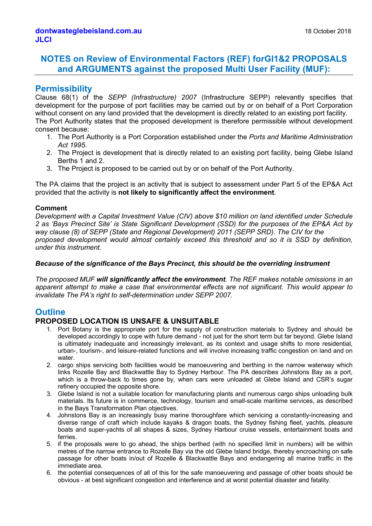# **NOTES on Review of Environmental Factors (REF) forGI1&2 PROPOSALS and ARGUMENTS against the proposed Multi User Facility (MUF):**

### **Permissibility**

Clause 68(1) of the *SEPP (Infrastructure) 2007* (Infrastructure SEPP) relevantly specifies that development for the purpose of port facilities may be carried out by or on behalf of a Port Corporation without consent on any land provided that the development is directly related to an existing port facility. The Port Authority states that the proposed development is therefore permissible without development consent because:

- 1. The Port Authority is a Port Corporation established under the *Ports and Maritime Administration Act 1995*.
- 2. The Project is development that is directly related to an existing port facility, being Glebe Island Berths 1 and 2.
- 3. The Project is proposed to be carried out by or on behalf of the Port Authority.

The PA claims that the project is an activity that is subject to assessment under Part 5 of the EP&A Act provided that the activity is **not likely to significantly affect the environment**.

#### **Comment**

*Development with a Capital Investment Value (CIV) above \$10 million on land identified under Schedule 2 as 'Bays Precinct Site' is State Significant Development (SSD) for the purposes of the EP&A Act by way clause (8) of SEPP (State and Regional Development) 2011 (SEPP SRD). The CIV for the proposed development would almost certainly exceed this threshold and so it is SSD by definition, under this instrument.*

#### *Because of the significance of the Bays Precinct, this should be the overriding instrument*

*The proposed MUF will significantly affect the environment. The REF makes notable omissions in an apparent attempt to make a case that environmental effects are not significant. This would appear to invalidate The PA's right to self-determination under SEPP 2007.*

# **Outline**

### **PROPOSED LOCATION IS UNSAFE & UNSUITABLE**

- 1. Port Botany is the appropriate port for the supply of construction materials to Sydney and should be developed accordingly to cope with future demand - not just for the short term but far beyond. Glebe Island is ultimately inadequate and increasingly irrelevant, as its context and usage shifts to more residential, urban-, tourism-, and leisure-related functions and will involve increasing traffic congestion on land and on water.
- 2. cargo ships servicing both facilities would be manoeuvering and berthing in the narrow waterway which links Rozelle Bay and Blackwattle Bay to Sydney Harbour. The PA describes Johnstons Bay as a port, which is a throw-back to times gone by, when cars were unloaded at Glebe Island and CSR's sugar refinery occupied the opposite shore.
- 3. Glebe Island is not a suitable location for manufacturing plants and numerous cargo ships unloading bulk materials. Its future is in commerce, technology, tourism and small-scale maritime services, as described in the Bays Transformation Plan objectives.
- 4. Johnstons Bay is an increasingly busy marine thoroughfare which servicing a constantly-increasing and diverse range of craft which include kayaks & dragon boats, the Sydney fishing fleet, yachts, pleasure boats and super-yachts of all shapes & sizes, Sydney Harbour cruise vessels, entertainment boats and ferries.
- 5. if the proposals were to go ahead, the ships berthed (with no specified limit in numbers) will be within metres of the narrow entrance to Rozelle Bay via the old Glebe Island bridge, thereby encroaching on safe passage for other boats in/out of Rozelle & Blackwattle Bays and endangering all marine traffic in the immediate area.
- 6. the potential consequences of all of this for the safe manoeuvering and passage of other boats should be obvious - at best significant congestion and interference and at worst potential disaster and fatality.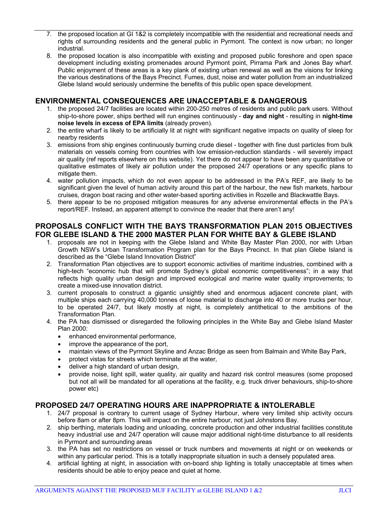- 7. the proposed location at GI 1&2 is completely incompatible with the residential and recreational needs and rights of surrounding residents and the general public in Pyrmont. The context is now urban; no longer industrial.
- 8. the proposed location is also incompatible with existing and proposed public foreshore and open space development including existing promenades around Pyrmont point, Pirrama Park and Jones Bay wharf. Public enjoyment of these areas is a key plank of existing urban renewal as well as the visions for linking the various destinations of the Bays Precinct. Fumes, dust, noise and water pollution from an industrialized Glebe Island would seriously undermine the benefits of this public open space development.

#### **ENVIRONMENTAL CONSEQUENCES ARE UNACCEPTABLE & DANGEROUS**

- 1. the proposed 24/7 facilities are located within 200-250 metres of residents and public park users. Without ship-to-shore power, ships berthed will run engines continuously - **day and night** - resulting in **night-time noise levels in excess of EPA limits** (already proven).
- 2. the entire wharf is likely to be artificially lit at night with significant negative impacts on quality of sleep for nearby residents
- 3. emissions from ship engines continuously burning crude diesel together with fine dust particles from bulk materials on vessels coming from countries with low emission-reduction standards - will severely impact air quality (ref reports elsewhere on this website). Yet there do not appear to have been any quantitative or qualitative estimates of likely air pollution under the proposed 24/7 operations or any specific plans to mitigate them.
- 4. water pollution impacts, which do not even appear to be addressed in the PA's REF, are likely to be significant given the level of human activity around this part of the harbour, the new fish markets, harbour cruises, dragon boat racing and other water-based sporting activities in Rozelle and Blackwattle Bays.
- 5. there appear to be no proposed mitigation measures for any adverse environmental effects in the PA's report/REF. Instead, an apparent attempt to convince the reader that there aren't any!

### **PROPOSALS CONFLICT WITH THE BAYS TRANSFORMATION PLAN 2015 OBJECTIVES FOR GLEBE ISLAND & THE 2000 MASTER PLAN FOR WHITE BAY & GLEBE ISLAND**

- 1. proposals are not in keeping with the Glebe Island and White Bay Master Plan 2000, nor with Urban Growth NSW's Urban Transformation Program plan for the Bays Precinct. In that plan Glebe Island is described as the "Glebe Island Innovation District"
- 2. Transformation Plan objectives are to support economic activities of maritime industries, combined with a high-tech "economic hub that will promote Sydney's global economic competitiveness"; in a way that reflects high quality urban design and improved ecological and marine water quality improvements; to create a mixed-use innovation district.
- 3. current proposals to construct a gigantic unsightly shed and enormous adjacent concrete plant, with multiple ships each carrying 40,000 tonnes of loose material to discharge into 40 or more trucks per hour, to be operated 24/7, but likely mostly at night, is completely antithetical to the ambitions of the Transformation Plan.
- 4. the PA has dismissed or disregarded the following principles in the White Bay and Glebe Island Master Plan 2000:
	- enhanced environmental performance,
	- improve the appearance of the port,
	- maintain views of the Pyrmont Skyline and Anzac Bridge as seen from Balmain and White Bay Park,
	- protect vistas for streets which terminate at the water,
	- deliver a high standard of urban design,
	- provide noise, light spill, water quality, air quality and hazard risk control measures (some proposed but not all will be mandated for all operations at the facility, e.g. truck driver behaviours, ship-to-shore power etc)

### **PROPOSED 24/7 OPERATING HOURS ARE INAPPROPRIATE & INTOLERABLE**

- 1. 24/7 proposal is contrary to current usage of Sydney Harbour, where very limited ship activity occurs before 8am or after 8pm. This will impact on the entire harbour, not just Johnstons Bay.
- 2. ship berthing, materials loading and unloading, concrete production and other industrial facilities constitute heavy industrial use and 24/7 operation will cause major additional night-time disturbance to all residents in Pyrmont and surrounding areas
- 3. the PA has set no restrictions on vessel or truck numbers and movements at night or on weekends or within any particular period. This is a totally inappropriate situation in such a densely populated area.
- 4. artificial lighting at night, in association with on-board ship lighting is totally unacceptable at times when residents should be able to enjoy peace and quiet at home.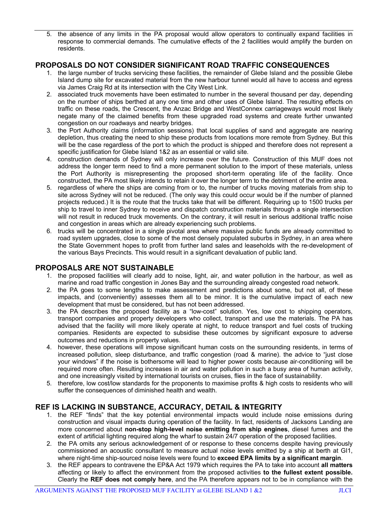5. the absence of any limits in the PA proposal would allow operators to continually expand facilities in response to commercial demands. The cumulative effects of the 2 facilities would amplify the burden on residents.

### **PROPOSALS DO NOT CONSIDER SIGNIFICANT ROAD TRAFFIC CONSEQUENCES**

- 1. the large number of trucks servicing these facilities, the remainder of Glebe Island and the possible Glebe Island dump site for excavated material from the new harbour tunnel would all have to access and egress via James Craig Rd at its intersection with the City West Link.
- 2. associated truck movements have been estimated to number in the several thousand per day, depending on the number of ships berthed at any one time and other uses of Glebe Island. The resulting effects on traffic on these roads, the Crescent, the Anzac Bridge and WestConnex carriageways would most likely negate many of the claimed benefits from these upgraded road systems and create further unwanted congestion on our roadways and nearby bridges.
- 3. the Port Authority claims (information sessions) that local supplies of sand and aggregate are nearing depletion, thus creating the need to ship these products from locations more remote from Sydney. But this will be the case regardless of the port to which the product is shipped and therefore does not represent a specific justification for Glebe Island 1&2 as an essential or valid site.
- 4. construction demands of Sydney will only increase over the future. Construction of this MUF does not address the longer term need to find a more permanent solution to the import of these materials, unless the Port Authority is misrepresenting the proposed short-term operating life of the facility. Once constructed, the PA most likely intends to retain it over the longer term to the detriment of the entire area.
- 5. regardless of where the ships are coming from or to, the number of trucks moving materials from ship to site across Sydney will not be reduced. (The only way this could occur would be if the number of planned projects reduced.) It is the route that the trucks take that will be different. Requiring up to 1500 trucks per ship to travel to inner Sydney to receive and dispatch construction materials through a single intersection will not result in reduced truck movements. On the contrary, it will result in serious additional traffic noise and congestion in areas which are already experiencing such problems.
- 6. trucks will be concentrated in a single pivotal area where massive public funds are already committed to road system upgrades, close to some of the most densely populated suburbs in Sydney, in an area where the State Government hopes to profit from further land sales and leaseholds with the re-development of the various Bays Precincts. This would result in a significant devaluation of public land.

### **PROPOSALS ARE NOT SUSTAINABLE**

- 1. the proposed facilities will clearly add to noise, light, air, and water pollution in the harbour, as well as marine and road traffic congestion in Jones Bay and the surrounding already congested road network.
- 2. the PA goes to some lengths to make assessment and predictions about some, but not all, of these impacts, and (conveniently) assesses them all to be minor. It is the cumulative impact of each new development that must be considered, but has not been addressed.
- 3. the PA describes the proposed facility as a "low-cost" solution. Yes, low cost to shipping operators, transport companies and property developers who collect, transport and use the materials. The PA has advised that the facility will more likely operate at night, to reduce transport and fuel costs of trucking companies. Residents are expected to subsidise these outcomes by significant exposure to adverse outcomes and reductions in property values.
- 4. however, these operations will impose significant human costs on the surrounding residents, in terms of increased pollution, sleep disturbance, and traffic congestion (road & marine). the advice to "just close your windows" if the noise is bothersome will lead to higher power costs because air-conditioning will be required more often. Resulting increases in air and water pollution in such a busy area of human activity, and one increasingly visited by international tourists on cruises, flies in the face of sustainability.
- 5. therefore, low cost/low standards for the proponents to maximise profits & high costs to residents who will suffer the consequences of diminished health and wealth.

### **REF IS LACKING IN SUBSTANCE, ACCURACY, DETAIL & INTEGRITY**

- 1. the REF "finds" that the key potential environmental impacts would include noise emissions during construction and visual impacts during operation of the facility. In fact, residents of Jacksons Landing are more concerned about **non-stop high-level noise emitting from ship engines**, diesel fumes and the extent of artificial lighting required along the wharf to sustain 24/7 operation of the proposed facilities.
- 2. the PA omits any serious acknowledgement of or response to these concerns despite having previously commissioned an acoustic consultant to measure actual noise levels emitted by a ship at berth at GI1, where night-time ship-sourced noise levels were found to **exceed EPA limits by a significant margin**.
- 3. the REF appears to contravene the EP&A Act 1979 which requires the PA to take into account **all matters** affecting or likely to affect the environment from the proposed activities **to the fullest extent possible.** Clearly the **REF does not comply here**, and the PA therefore appears not to be in compliance with the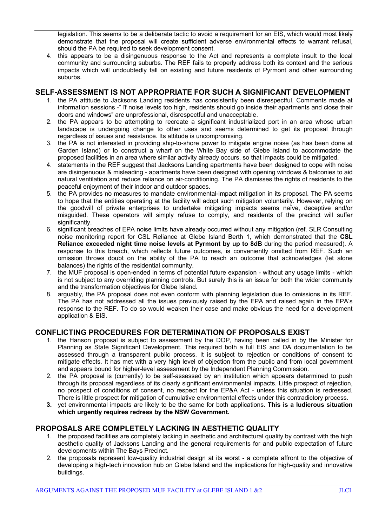legislation. This seems to be a deliberate tactic to avoid a requirement for an EIS, which would most likely demonstrate that the proposal will create sufficient adverse environmental effects to warrant refusal, should the PA be required to seek development consent.

4. this appears to be a disingenuous response to the Act and represents a complete insult to the local community and surrounding suburbs. The REF fails to properly address both its context and the serious impacts which will undoubtedly fall on existing and future residents of Pyrmont and other surrounding suburbs.

### **SELF-ASSESSMENT IS NOT APPROPRIATE FOR SUCH A SIGNIFICANT DEVELOPMENT**

- 1. the PA attitude to Jacksons Landing residents has consistently been disrespectful. Comments made at information sessions -" ïf noise levels too high, residents should go inside their apartments and close their doors and windows" are unprofessional, disrespectful and unacceptable.
- 2. the PA appears to be attempting to recreate a significant industrialized port in an area whose urban landscape is undergoing change to other uses and seems determined to get its proposal through regardless of issues and resistance. Its attitude is uncompromising.
- 3. the PA is not interested in providing ship-to-shore power to mitigate engine noise (as has been done at Garden Island) or to construct a wharf on the White Bay side of Glebe Island to accommodate the proposed facilities in an area where similar activity already occurs, so that impacts could be mitigated.
- 4. statements in the REF suggest that Jacksons Landing apartments have been designed to cope with noise are disingenuous & misleading - apartments have been designed with opening windows & balconies to aid natural ventilation and reduce reliance on air-conditioning. The PA dismisses the rights of residents to the peaceful enjoyment of their indoor and outdoor spaces.
- 5. the PA provides no measures to mandate environmental-impact mitigation in its proposal. The PA seems to hope that the entities operating at the facility will adopt such mitigation voluntarily. However, relying on the goodwill of private enterprises to undertake mitigating impacts seems naïve, deceptive and/or misguided. These operators will simply refuse to comply, and residents of the precinct will suffer significantly.
- 6. significant breaches of EPA noise limits have already occurred without any mitigation (ref. SLR Consulting noise monitoring report for CSL Reliance at Glebe Island Berth 1, which demonstrated that the **CSL Reliance exceeded night time noise levels at Pyrmont by up to 8dB** during the period measured). A response to this breach, which reflects future outcomes, is conveniently omitted from REF. Such an omission throws doubt on the ability of the PA to reach an outcome that acknowledges (let alone balances) the rights of the residential community.
- 7. the MUF proposal is open-ended in terms of potential future expansion without any usage limits which is not subject to any overriding planning controls. But surely this is an issue for both the wider community and the transformation objectives for Glebe Island.
- 8. arguably, the PA proposal does not even conform with planning legislation due to omissions in its REF. The PA has not addressed all the issues previously raised by the EPA and raised again in the EPA's response to the REF. To do so would weaken their case and make obvious the need for a development application & EIS.

### **CONFLICTING PROCEDURES FOR DETERMINATION OF PROPOSALS EXIST**

- 1. the Hanson proposal is subject to assessment by the DOP, having been called in by the Minister for Planning as State Significant Development. This required both a full EIS and DA documentation to be assessed through a transparent public process. It is subject to rejection or conditions of consent to mitigate effects. It has met with a very high level of objection from the public and from local government and appears bound for higher-level assessment by the Independent Planning Commission.
- 2. the PA proposal is (currently) to be self-assessed by an institution which appears determined to push through its proposal regardless of its clearly significant environmental impacts. Little prospect of rejection, no prospect of conditions of consent, no respect for the EP&A Act - unless this situation is redressed. There is little prospect for mitigation of cumulative environmental effects under this contradictory process.
- **3.** yet environmental impacts are likely to be the same for both applications. **This is a ludicrous situation which urgently requires redress by the NSW Government.**

### **PROPOSALS ARE COMPLETELY LACKING IN AESTHETIC QUALITY**

- 1. the proposed facilities are completely lacking in aesthetic and architectural quality by contrast with the high aesthetic quality of Jacksons Landing and the general requirements for and public expectation of future developments within The Bays Precinct.
- 2. the proposals represent low-quality industrial design at its worst a complete affront to the objective of developing a high-tech innovation hub on Glebe Island and the implications for high-quality and innovative buildings.